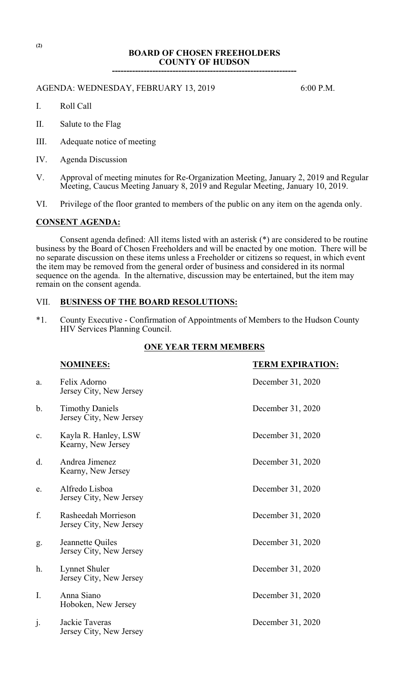# **BOARD OF CHOSEN FREEHOLDERS COUNTY OF HUDSON**

**----------------------------------------------------------------**

# AGENDA: WEDNESDAY, FEBRUARY 13, 2019 6:00 P.M.

- I. Roll Call
- II. Salute to the Flag
- III. Adequate notice of meeting
- IV. Agenda Discussion
- V. Approval of meeting minutes for Re-Organization Meeting, January 2, 2019 and Regular Meeting, Caucus Meeting January 8, 2019 and Regular Meeting, January 10, 2019.
- VI. Privilege of the floor granted to members of the public on any item on the agenda only.

## **CONSENT AGENDA:**

Consent agenda defined: All items listed with an asterisk (\*) are considered to be routine business by the Board of Chosen Freeholders and will be enacted by one motion. There will be no separate discussion on these items unless a Freeholder or citizens so request, in which event the item may be removed from the general order of business and considered in its normal sequence on the agenda. In the alternative, discussion may be entertained, but the item may remain on the consent agenda.

# VII. **BUSINESS OF THE BOARD RESOLUTIONS:**

\*1. County Executive - Confirmation of Appointments of Members to the Hudson County HIV Services Planning Council.

#### **ONE YEAR TERM MEMBERS**

|                | <b>NOMINEES:</b>                                  | <b>TERM EXPIRATION:</b> |
|----------------|---------------------------------------------------|-------------------------|
| a.             | Felix Adorno<br>Jersey City, New Jersey           | December 31, 2020       |
| b.             | <b>Timothy Daniels</b><br>Jersey City, New Jersey | December 31, 2020       |
| c.             | Kayla R. Hanley, LSW<br>Kearny, New Jersey        | December 31, 2020       |
| d.             | Andrea Jimenez<br>Kearny, New Jersey              | December 31, 2020       |
| e.             | Alfredo Lisboa<br>Jersey City, New Jersey         | December 31, 2020       |
| f.             | Rasheedah Morrieson<br>Jersey City, New Jersey    | December 31, 2020       |
| g.             | Jeannette Quiles<br>Jersey City, New Jersey       | December 31, 2020       |
| h.             | Lynnet Shuler<br>Jersey City, New Jersey          | December 31, 2020       |
| I.             | Anna Siano<br>Hoboken, New Jersey                 | December 31, 2020       |
| $\mathbf{j}$ . | Jackie Taveras<br>Jersey City, New Jersey         | December 31, 2020       |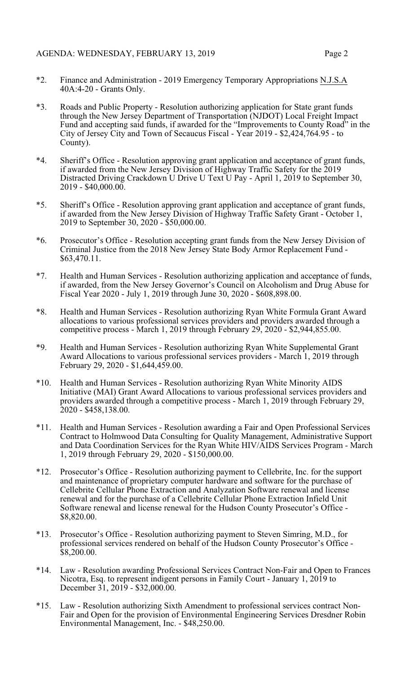- 
- \*2. Finance and Administration 2019 Emergency Temporary Appropriations N.J.S.A 40A:4-20 - Grants Only.
- \*3. Roads and Public Property Resolution authorizing application for State grant funds through the New Jersey Department of Transportation (NJDOT) Local Freight Impact Fund and accepting said funds, if awarded for the "Improvements to County Road" in the City of Jersey City and Town of Secaucus Fiscal - Year 2019 - \$2,424,764.95 - to County).
- \*4. Sheriff's Office Resolution approving grant application and acceptance of grant funds, if awarded from the New Jersey Division of Highway Traffic Safety for the 2019 Distracted Driving Crackdown U Drive U Text U Pay - April 1, 2019 to September 30, 2019 - \$40,000.00.
- \*5. Sheriff's Office Resolution approving grant application and acceptance of grant funds, if awarded from the New Jersey Division of Highway Traffic Safety Grant - October 1, 2019 to September 30, 2020 - \$50,000.00.
- \*6. Prosecutor's Office Resolution accepting grant funds from the New Jersey Division of Criminal Justice from the 2018 New Jersey State Body Armor Replacement Fund - \$63,470.11.
- \*7. Health and Human Services Resolution authorizing application and acceptance of funds, if awarded, from the New Jersey Governor's Council on Alcoholism and Drug Abuse for Fiscal Year 2020 - July 1, 2019 through June 30, 2020 - \$608,898.00.
- \*8. Health and Human Services Resolution authorizing Ryan White Formula Grant Award allocations to various professional services providers and providers awarded through a competitive process - March 1, 2019 through February 29, 2020 - \$2,944,855.00.
- \*9. Health and Human Services Resolution authorizing Ryan White Supplemental Grant Award Allocations to various professional services providers - March 1, 2019 through February 29, 2020 - \$1,644,459.00.
- \*10. Health and Human Services Resolution authorizing Ryan White Minority AIDS Initiative (MAI) Grant Award Allocations to various professional services providers and providers awarded through a competitive process - March 1, 2019 through February 29, 2020 - \$458,138.00.
- \*11. Health and Human Services Resolution awarding a Fair and Open Professional Services Contract to Holmwood Data Consulting for Quality Management, Administrative Support and Data Coordination Services for the Ryan White HIV/AIDS Services Program - March 1, 2019 through February 29, 2020 - \$150,000.00.
- \*12. Prosecutor's Office Resolution authorizing payment to Cellebrite, Inc. for the support and maintenance of proprietary computer hardware and software for the purchase of Cellebrite Cellular Phone Extraction and Analyzation Software renewal and license renewal and for the purchase of a Cellebrite Cellular Phone Extraction Infield Unit Software renewal and license renewal for the Hudson County Prosecutor's Office - \$8,820.00.
- \*13. Prosecutor's Office Resolution authorizing payment to Steven Simring, M.D., for professional services rendered on behalf of the Hudson County Prosecutor's Office - \$8,200.00.
- \*14. Law Resolution awarding Professional Services Contract Non-Fair and Open to Frances Nicotra, Esq. to represent indigent persons in Family Court - January 1, 2019 to December 31, 2019 - \$32,000.00.
- \*15. Law Resolution authorizing Sixth Amendment to professional services contract Non-Fair and Open for the provision of Environmental Engineering Services Dresdner Robin Environmental Management, Inc. - \$48,250.00.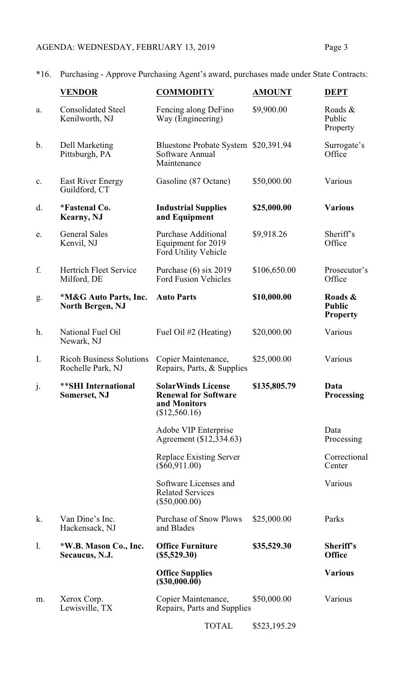# AGENDA: WEDNESDAY, FEBRUARY 13, 2019 Page 3

\*16. Purchasing - Approve Purchasing Agent's award, purchases made under State Contracts:

|                | <b>VENDOR</b>                                        | <b>COMMODITY</b>                                                                          | <b>AMOUNT</b> | <b>DEPT</b>                                 |
|----------------|------------------------------------------------------|-------------------------------------------------------------------------------------------|---------------|---------------------------------------------|
| a.             | <b>Consolidated Steel</b><br>Kenilworth, NJ          | Fencing along DeFino<br>Way (Engineering)                                                 | \$9,900.00    | Roads &<br>Public<br>Property               |
| b.             | Dell Marketing<br>Pittsburgh, PA                     | Bluestone Probate System \$20,391.94<br>Software Annual<br>Maintenance                    |               | Surrogate's<br>Office                       |
| $\mathbf{C}$ . | East River Energy<br>Guildford, CT                   | Gasoline (87 Octane)                                                                      | \$50,000.00   | Various                                     |
| d.             | <i>*Fastenal Co.</i><br><b>Kearny</b> , NJ           | <b>Industrial Supplies</b><br>and Equipment                                               | \$25,000.00   | <b>Various</b>                              |
| e.             | <b>General Sales</b><br>Kenvil, NJ                   | <b>Purchase Additional</b><br>Equipment for 2019<br>Ford Utility Vehicle                  | \$9,918.26    | Sheriff's<br>Office                         |
| f.             | <b>Hertrich Fleet Service</b><br>Milford, DE         | Purchase $(6)$ six 2019<br><b>Ford Fusion Vehicles</b>                                    | \$106,650.00  | Prosecutor's<br>Office                      |
| g.             | *M&G Auto Parts, Inc.<br><b>North Bergen, NJ</b>     | <b>Auto Parts</b>                                                                         | \$10,000.00   | Roads &<br><b>Public</b><br><b>Property</b> |
| h.             | National Fuel Oil<br>Newark, NJ                      | Fuel Oil #2 (Heating)                                                                     | \$20,000.00   | Various                                     |
| I.             | <b>Ricoh Business Solutions</b><br>Rochelle Park, NJ | Copier Maintenance,<br>Repairs, Parts, & Supplies                                         | \$25,000.00   | Various                                     |
| j.             | <b>**SHI International</b><br><b>Somerset, NJ</b>    | <b>SolarWinds License</b><br><b>Renewal for Software</b><br>and Monitors<br>(\$12,560.16) | \$135,805.79  | Data<br><b>Processing</b>                   |
|                |                                                      | Adobe VIP Enterprise<br>Agreement (\$12,334.63)                                           |               | Data<br>Processing                          |
|                |                                                      | Replace Existing Server<br>$(\$60,911.00)$                                                |               | Correctional<br>Center                      |
|                |                                                      | Software Licenses and<br><b>Related Services</b><br>$(\$50,000.00)$                       |               | Various                                     |
| k.             | Van Dine's Inc.<br>Hackensack, NJ                    | <b>Purchase of Snow Plows</b><br>and Blades                                               | \$25,000.00   | Parks                                       |
| 1.             | *W.B. Mason Co., Inc.<br>Secaucus, N.J.              | <b>Office Furniture</b><br>$(\$5,529.30)$                                                 | \$35,529.30   | Sheriff's<br><b>Office</b>                  |
|                |                                                      | <b>Office Supplies</b><br>(\$30,000.00)                                                   |               | <b>Various</b>                              |
| m.             | Xerox Corp.<br>Lewisville, TX                        | Copier Maintenance,<br>Repairs, Parts and Supplies                                        | \$50,000.00   | Various                                     |

TOTAL \$523,195.29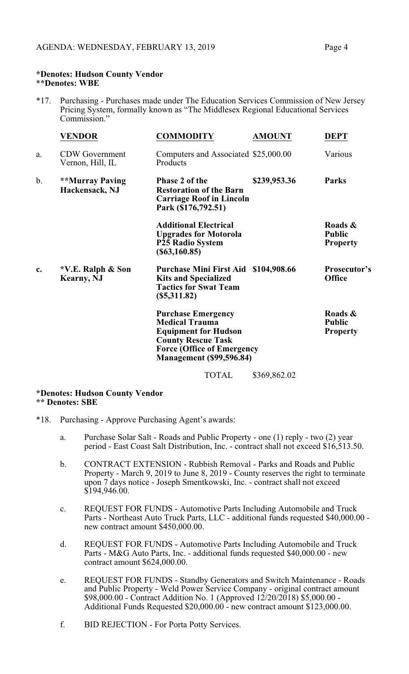#### **\*Denotes: Hudson County Vendor \*\*Denotes: WBE**

\*17. Purchasing - Purchases made under The Education Services Commission of New Jersey Pricing System, formally known as "The Middlesex Regional Educational Services Commission."

|    | <b>VENDOR</b>                             | <b>COMMODITY</b>                                                                                                                                                                       | <b>AMOUNT</b> | <b>DEPT</b>                                 |
|----|-------------------------------------------|----------------------------------------------------------------------------------------------------------------------------------------------------------------------------------------|---------------|---------------------------------------------|
| a. | <b>CDW</b> Government<br>Vernon, Hill, IL | Computers and Associated \$25,000.00<br>Products                                                                                                                                       |               | Various                                     |
| b. | <b>**Murray Paving</b><br>Hackensack, NJ  | <b>Phase 2 of the</b><br><b>Restoration of the Barn</b><br><b>Carriage Roof in Lincoln</b><br>Park (\$176,792.51)                                                                      | \$239,953.36  | <b>Parks</b>                                |
|    |                                           | <b>Additional Electrical</b><br><b>Upgrades for Motorola</b><br><b>P25 Radio System</b><br>$(\$63,160.85)$                                                                             |               | Roads &<br><b>Public</b><br><b>Property</b> |
| c. | *V.E. Ralph & Son<br><b>Kearny</b> , NJ   | Purchase Mini First Aid \$104,908.66<br><b>Kits and Specialized</b><br><b>Tactics for Swat Team</b><br>$(\$5,311.82)$                                                                  |               | <b>Prosecutor's</b><br><b>Office</b>        |
|    |                                           | <b>Purchase Emergency</b><br><b>Medical Trauma</b><br><b>Equipment for Hudson</b><br><b>County Rescue Task</b><br><b>Force (Office of Emergency</b><br><b>Management</b> (\$99,596.84) |               | Roads &<br><b>Public</b><br><b>Property</b> |
|    |                                           | <b>TOTAL</b>                                                                                                                                                                           | \$369,862.02  |                                             |

## **\*Denotes: Hudson County Vendor \*\* Denotes: SBE**

- \*18. Purchasing Approve Purchasing Agent's awards:
	- a. Purchase Solar Salt Roads and Public Property one (1) reply two (2) year period - East Coast Salt Distribution, Inc. - contract shall not exceed \$16,513.50.
	- b. CONTRACT EXTENSION Rubbish Removal Parks and Roads and Public Property - March 9, 2019 to June 8, 2019 - County reserves the right to terminate upon 7 days notice - Joseph Smentkowski, Inc. - contract shall not exceed  $$194,946.00.$
	- c. REQUEST FOR FUNDS Automotive Parts Including Automobile and Truck Parts - Northeast Auto Truck Parts, LLC - additional funds requested \$40,000.00 new contract amount \$450,000.00.
	- d. REQUEST FOR FUNDS Automotive Parts Including Automobile and Truck Parts - M&G Auto Parts, Inc. - additional funds requested \$40,000.00 - new contract amount \$624,000.00.
	- e. REQUEST FOR FUNDS Standby Generators and Switch Maintenance Roads and Public Property - Weld Power Service Company - original contract amount \$98,000.00 - Contract Addition No. 1 (Approved 12/20/2018) \$5,000.00 - Additional Funds Requested \$20,000.00 - new contract amount \$123,000.00.
	- f. BID REJECTION For Porta Potty Services.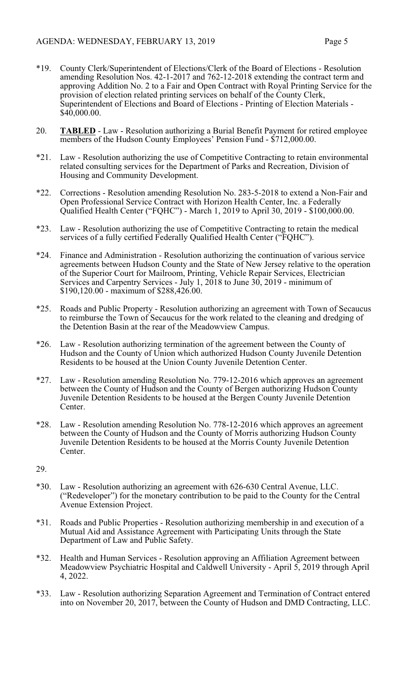- \*19. County Clerk/Superintendent of Elections/Clerk of the Board of Elections Resolution amending Resolution Nos. 42-1-2017 and 762-12-2018 extending the contract term and approving Addition No. 2 to a Fair and Open Contract with Royal Printing Service for the provision of election related printing services on behalf of the County Clerk, Superintendent of Elections and Board of Elections - Printing of Election Materials - \$40,000.00.
- 20. **TABLED** Law Resolution authorizing a Burial Benefit Payment for retired employee members of the Hudson County Employees' Pension Fund - \$712,000.00.
- \*21. Law Resolution authorizing the use of Competitive Contracting to retain environmental related consulting services for the Department of Parks and Recreation, Division of Housing and Community Development.
- \*22. Corrections Resolution amending Resolution No. 283-5-2018 to extend a Non-Fair and Open Professional Service Contract with Horizon Health Center, Inc. a Federally Qualified Health Center ("FQHC") - March 1, 2019 to April 30, 2019 - \$100,000.00.
- \*23. Law Resolution authorizing the use of Competitive Contracting to retain the medical services of a fully certified Federally Qualified Health Center ("FQHC").
- \*24. Finance and Administration Resolution authorizing the continuation of various service agreements between Hudson County and the State of New Jersey relative to the operation of the Superior Court for Mailroom, Printing, Vehicle Repair Services, Electrician Services and Carpentry Services - July 1, 2018 to June 30, 2019 - minimum of \$190,120.00 - maximum of \$288,426.00.
- \*25. Roads and Public Property Resolution authorizing an agreement with Town of Secaucus to reimburse the Town of Secaucus for the work related to the cleaning and dredging of the Detention Basin at the rear of the Meadowview Campus.
- \*26. Law Resolution authorizing termination of the agreement between the County of Hudson and the County of Union which authorized Hudson County Juvenile Detention Residents to be housed at the Union County Juvenile Detention Center.
- \*27. Law Resolution amending Resolution No. 779-12-2016 which approves an agreement between the County of Hudson and the County of Bergen authorizing Hudson County Juvenile Detention Residents to be housed at the Bergen County Juvenile Detention Center.
- \*28. Law Resolution amending Resolution No. 778-12-2016 which approves an agreement between the County of Hudson and the County of Morris authorizing Hudson County Juvenile Detention Residents to be housed at the Morris County Juvenile Detention Center.
- 29.
- \*30. Law Resolution authorizing an agreement with 626-630 Central Avenue, LLC. ("Redeveloper") for the monetary contribution to be paid to the County for the Central Avenue Extension Project.
- \*31. Roads and Public Properties Resolution authorizing membership in and execution of a Mutual Aid and Assistance Agreement with Participating Units through the State Department of Law and Public Safety.
- \*32. Health and Human Services Resolution approving an Affiliation Agreement between Meadowview Psychiatric Hospital and Caldwell University - April 5, 2019 through April 4, 2022.
- \*33. Law Resolution authorizing Separation Agreement and Termination of Contract entered into on November 20, 2017, between the County of Hudson and DMD Contracting, LLC.